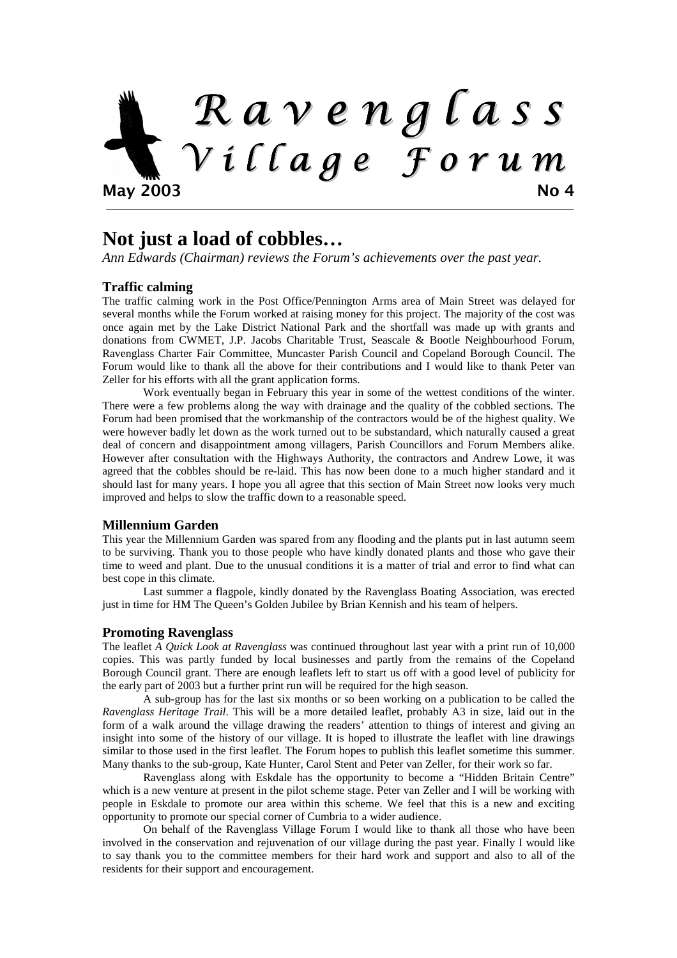

### **Not just a load of cobbles…**

*Ann Edwards (Chairman) reviews the Forum's achievements over the past year.*

### **Traffic calming**

The traffic calming work in the Post Office/Pennington Arms area of Main Street was delayed for several months while the Forum worked at raising money for this project. The majority of the cost was once again met by the Lake District National Park and the shortfall was made up with grants and donations from CWMET, J.P. Jacobs Charitable Trust, Seascale & Bootle Neighbourhood Forum, Ravenglass Charter Fair Committee, Muncaster Parish Council and Copeland Borough Council. The Forum would like to thank all the above for their contributions and I would like to thank Peter van Zeller for his efforts with all the grant application forms.

Work eventually began in February this year in some of the wettest conditions of the winter. There were a few problems along the way with drainage and the quality of the cobbled sections. The Forum had been promised that the workmanship of the contractors would be of the highest quality. We were however badly let down as the work turned out to be substandard, which naturally caused a great deal of concern and disappointment among villagers, Parish Councillors and Forum Members alike. However after consultation with the Highways Authority, the contractors and Andrew Lowe, it was agreed that the cobbles should be re-laid. This has now been done to a much higher standard and it should last for many years. I hope you all agree that this section of Main Street now looks very much improved and helps to slow the traffic down to a reasonable speed.

### **Millennium Garden**

This year the Millennium Garden was spared from any flooding and the plants put in last autumn seem to be surviving. Thank you to those people who have kindly donated plants and those who gave their time to weed and plant. Due to the unusual conditions it is a matter of trial and error to find what can best cope in this climate.

Last summer a flagpole, kindly donated by the Ravenglass Boating Association, was erected just in time for HM The Queen's Golden Jubilee by Brian Kennish and his team of helpers.

### **Promoting Ravenglass**

The leaflet *A Quick Look at Ravenglass* was continued throughout last year with a print run of 10,000 copies. This was partly funded by local businesses and partly from the remains of the Copeland Borough Council grant. There are enough leaflets left to start us off with a good level of publicity for the early part of 2003 but a further print run will be required for the high season.

A sub-group has for the last six months or so been working on a publication to be called the *Ravenglass Heritage Trail*. This will be a more detailed leaflet, probably A3 in size, laid out in the form of a walk around the village drawing the readers' attention to things of interest and giving an insight into some of the history of our village. It is hoped to illustrate the leaflet with line drawings similar to those used in the first leaflet. The Forum hopes to publish this leaflet sometime this summer. Many thanks to the sub-group, Kate Hunter, Carol Stent and Peter van Zeller, for their work so far.

Ravenglass along with Eskdale has the opportunity to become a "Hidden Britain Centre" which is a new venture at present in the pilot scheme stage. Peter van Zeller and I will be working with people in Eskdale to promote our area within this scheme. We feel that this is a new and exciting opportunity to promote our special corner of Cumbria to a wider audience.

On behalf of the Ravenglass Village Forum I would like to thank all those who have been involved in the conservation and rejuvenation of our village during the past year. Finally I would like to say thank you to the committee members for their hard work and support and also to all of the residents for their support and encouragement.